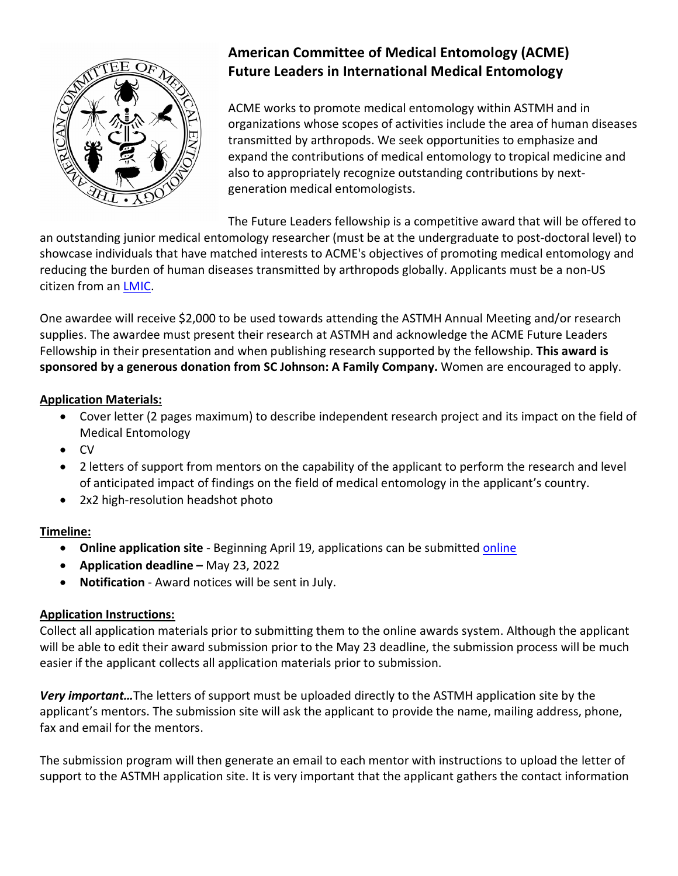

# **American Committee of Medical Entomology (ACME) Future Leaders in International Medical Entomology**

ACME works to promote medical entomology within ASTMH and in organizations whose scopes of activities include the area of human diseases transmitted by arthropods. We seek opportunities to emphasize and expand the contributions of medical entomology to tropical medicine and also to appropriately recognize outstanding contributions by nextgeneration medical entomologists.

The Future Leaders fellowship is a competitive award that will be offered to

an outstanding junior medical entomology researcher (must be at the undergraduate to post-doctoral level) to showcase individuals that have matched interests to ACME's objectives of promoting medical entomology and reducing the burden of human diseases transmitted by arthropods globally. Applicants must be a non-US citizen from an [LMIC.](file://ad.astmh.org/astmh-dfs/Data/General%20Administration/Membership/International%20Rates/International%20Countries%20March%202021.pdf)

One awardee will receive \$2,000 to be used towards attending the ASTMH Annual Meeting and/or research supplies. The awardee must present their research at ASTMH and acknowledge the ACME Future Leaders Fellowship in their presentation and when publishing research supported by the fellowship. **This award is sponsored by a generous donation from SC Johnson: A Family Company.** Women are encouraged to apply.

# **Application Materials:**

- Cover letter (2 pages maximum) to describe independent research project and its impact on the field of Medical Entomology
- CV
- 2 letters of support from mentors on the capability of the applicant to perform the research and level of anticipated impact of findings on the field of medical entomology in the applicant's country.
- 2x2 high-resolution headshot photo

### **Timeline:**

- **Online application site** Beginning April 19, applications can be submitted [online](http://www.astmh.org/awards-fellowships-medals/awards-and-honors/nomination-submissions)
- **Application deadline –** May 23, 2022
- **Notification**  Award notices will be sent in July.

### **Application Instructions:**

Collect all application materials prior to submitting them to the online awards system. Although the applicant will be able to edit their award submission prior to the May 23 deadline, the submission process will be much easier if the applicant collects all application materials prior to submission.

*Very important…*The letters of support must be uploaded directly to the ASTMH application site by the applicant's mentors. The submission site will ask the applicant to provide the name, mailing address, phone, fax and email for the mentors.

The submission program will then generate an email to each mentor with instructions to upload the letter of support to the ASTMH application site. It is very important that the applicant gathers the contact information